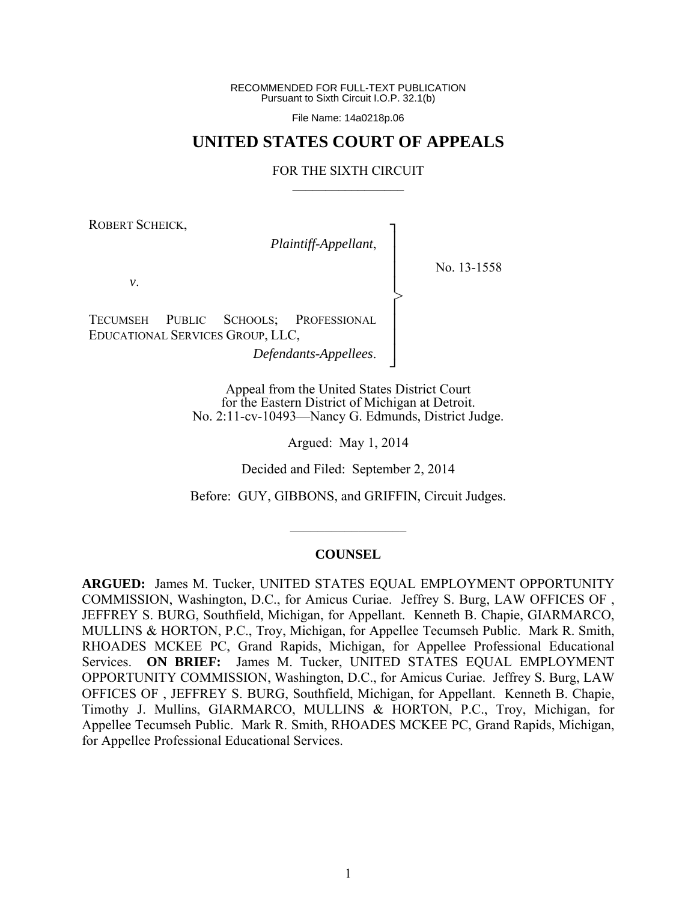RECOMMENDED FOR FULL-TEXT PUBLICATION Pursuant to Sixth Circuit I.O.P. 32.1(b)

File Name: 14a0218p.06

# **UNITED STATES COURT OF APPEALS**

### FOR THE SIXTH CIRCUIT  $\mathcal{L}_\text{max}$

┐ │ │ │ │ │ │ │ │ ┘

>

ROBERT SCHEICK,

*Plaintiff-Appellant*,

No. 13-1558

*v*.

TECUMSEH PUBLIC SCHOOLS; PROFESSIONAL EDUCATIONAL SERVICES GROUP, LLC,

*Defendants-Appellees*.

Appeal from the United States District Court for the Eastern District of Michigan at Detroit. No. 2:11-cv-10493—Nancy G. Edmunds, District Judge.

Argued: May 1, 2014

Decided and Filed: September 2, 2014

Before: GUY, GIBBONS, and GRIFFIN, Circuit Judges.

 $\frac{1}{2}$ 

#### **COUNSEL**

**ARGUED:** James M. Tucker, UNITED STATES EQUAL EMPLOYMENT OPPORTUNITY COMMISSION, Washington, D.C., for Amicus Curiae. Jeffrey S. Burg, LAW OFFICES OF , JEFFREY S. BURG, Southfield, Michigan, for Appellant. Kenneth B. Chapie, GIARMARCO, MULLINS & HORTON, P.C., Troy, Michigan, for Appellee Tecumseh Public. Mark R. Smith, RHOADES MCKEE PC, Grand Rapids, Michigan, for Appellee Professional Educational Services. **ON BRIEF:** James M. Tucker, UNITED STATES EQUAL EMPLOYMENT OPPORTUNITY COMMISSION, Washington, D.C., for Amicus Curiae. Jeffrey S. Burg, LAW OFFICES OF , JEFFREY S. BURG, Southfield, Michigan, for Appellant. Kenneth B. Chapie, Timothy J. Mullins, GIARMARCO, MULLINS & HORTON, P.C., Troy, Michigan, for Appellee Tecumseh Public. Mark R. Smith, RHOADES MCKEE PC, Grand Rapids, Michigan, for Appellee Professional Educational Services.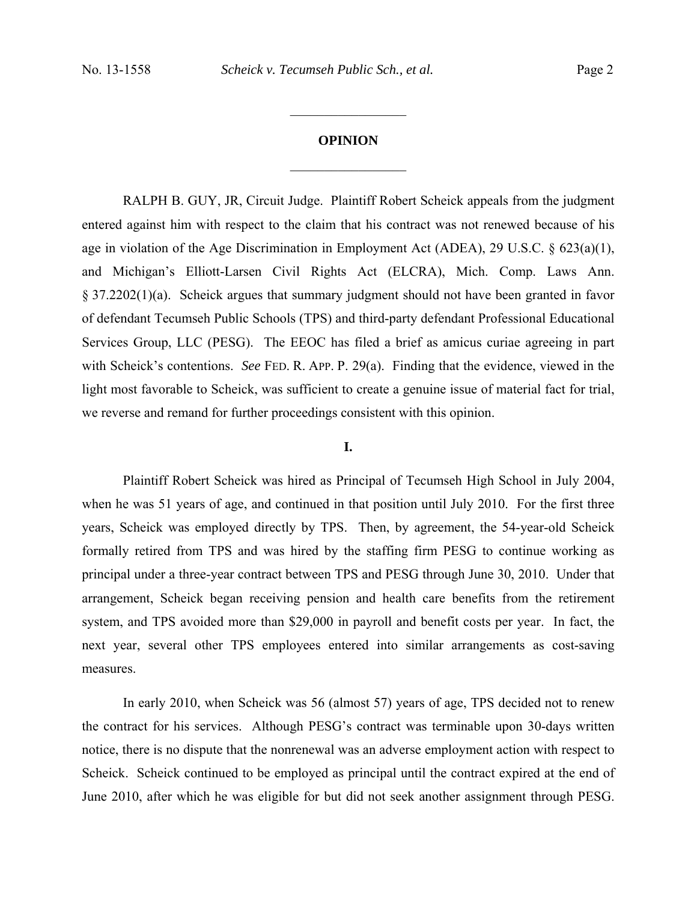## **OPINION**

 $\frac{1}{2}$ 

 $\frac{1}{2}$ 

RALPH B. GUY, JR, Circuit Judge.Plaintiff Robert Scheick appeals from the judgment entered against him with respect to the claim that his contract was not renewed because of his age in violation of the Age Discrimination in Employment Act (ADEA), 29 U.S.C. § 623(a)(1), and Michigan's Elliott-Larsen Civil Rights Act (ELCRA), Mich. Comp. Laws Ann. § 37.2202(1)(a). Scheick argues that summary judgment should not have been granted in favor of defendant Tecumseh Public Schools (TPS) and third-party defendant Professional Educational Services Group, LLC (PESG). The EEOC has filed a brief as amicus curiae agreeing in part with Scheick's contentions. *See FED. R. APP. P. 29(a).* Finding that the evidence, viewed in the light most favorable to Scheick, was sufficient to create a genuine issue of material fact for trial, we reverse and remand for further proceedings consistent with this opinion.

## **I.**

 Plaintiff Robert Scheick was hired as Principal of Tecumseh High School in July 2004, when he was 51 years of age, and continued in that position until July 2010. For the first three years, Scheick was employed directly by TPS. Then, by agreement, the 54-year-old Scheick formally retired from TPS and was hired by the staffing firm PESG to continue working as principal under a three-year contract between TPS and PESG through June 30, 2010. Under that arrangement, Scheick began receiving pension and health care benefits from the retirement system, and TPS avoided more than \$29,000 in payroll and benefit costs per year. In fact, the next year, several other TPS employees entered into similar arrangements as cost-saving measures.

 In early 2010, when Scheick was 56 (almost 57) years of age, TPS decided not to renew the contract for his services. Although PESG's contract was terminable upon 30-days written notice, there is no dispute that the nonrenewal was an adverse employment action with respect to Scheick. Scheick continued to be employed as principal until the contract expired at the end of June 2010, after which he was eligible for but did not seek another assignment through PESG.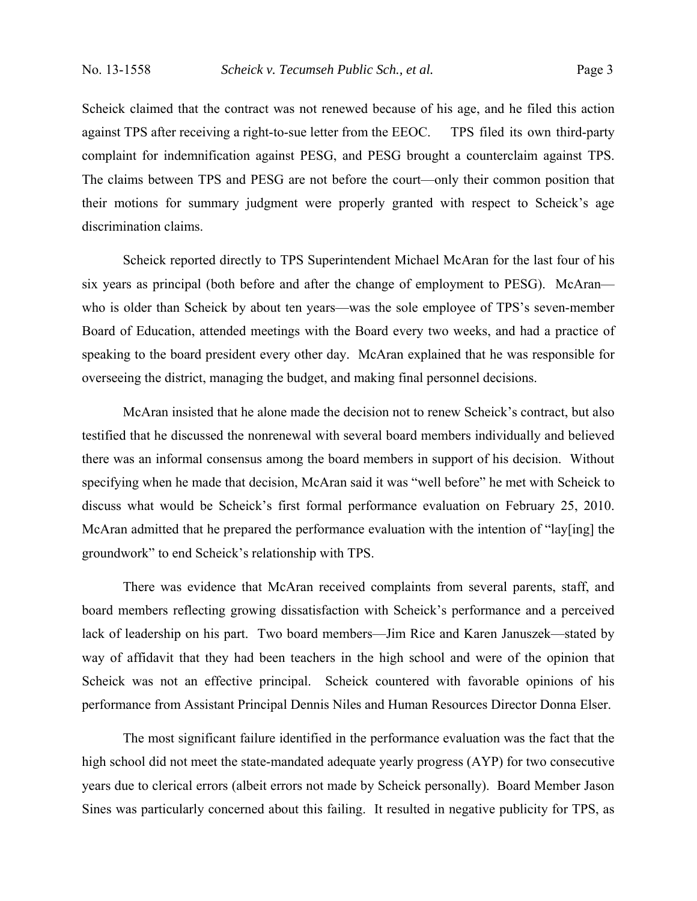Scheick claimed that the contract was not renewed because of his age, and he filed this action against TPS after receiving a right-to-sue letter from the EEOC. TPS filed its own third-party complaint for indemnification against PESG, and PESG brought a counterclaim against TPS. The claims between TPS and PESG are not before the court—only their common position that their motions for summary judgment were properly granted with respect to Scheick's age discrimination claims.

 Scheick reported directly to TPS Superintendent Michael McAran for the last four of his six years as principal (both before and after the change of employment to PESG). McAran who is older than Scheick by about ten years—was the sole employee of TPS's seven-member Board of Education, attended meetings with the Board every two weeks, and had a practice of speaking to the board president every other day. McAran explained that he was responsible for overseeing the district, managing the budget, and making final personnel decisions.

 McAran insisted that he alone made the decision not to renew Scheick's contract, but also testified that he discussed the nonrenewal with several board members individually and believed there was an informal consensus among the board members in support of his decision. Without specifying when he made that decision, McAran said it was "well before" he met with Scheick to discuss what would be Scheick's first formal performance evaluation on February 25, 2010. McAran admitted that he prepared the performance evaluation with the intention of "lay[ing] the groundwork" to end Scheick's relationship with TPS.

 There was evidence that McAran received complaints from several parents, staff, and board members reflecting growing dissatisfaction with Scheick's performance and a perceived lack of leadership on his part. Two board members—Jim Rice and Karen Januszek—stated by way of affidavit that they had been teachers in the high school and were of the opinion that Scheick was not an effective principal. Scheick countered with favorable opinions of his performance from Assistant Principal Dennis Niles and Human Resources Director Donna Elser.

 The most significant failure identified in the performance evaluation was the fact that the high school did not meet the state-mandated adequate yearly progress (AYP) for two consecutive years due to clerical errors (albeit errors not made by Scheick personally). Board Member Jason Sines was particularly concerned about this failing. It resulted in negative publicity for TPS, as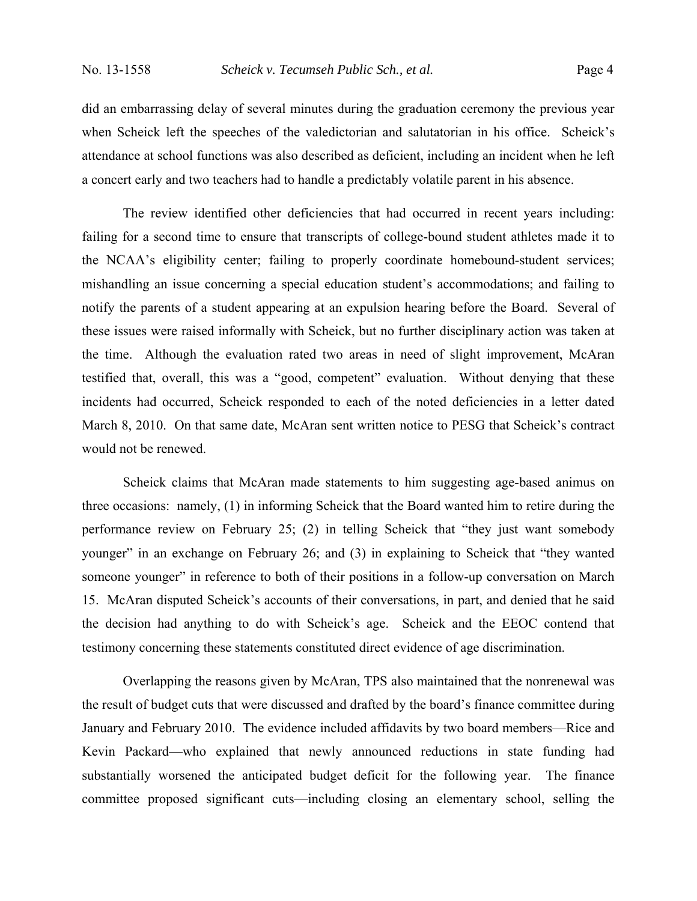did an embarrassing delay of several minutes during the graduation ceremony the previous year when Scheick left the speeches of the valedictorian and salutatorian in his office. Scheick's attendance at school functions was also described as deficient, including an incident when he left a concert early and two teachers had to handle a predictably volatile parent in his absence.

 The review identified other deficiencies that had occurred in recent years including: failing for a second time to ensure that transcripts of college-bound student athletes made it to the NCAA's eligibility center; failing to properly coordinate homebound-student services; mishandling an issue concerning a special education student's accommodations; and failing to notify the parents of a student appearing at an expulsion hearing before the Board. Several of these issues were raised informally with Scheick, but no further disciplinary action was taken at the time. Although the evaluation rated two areas in need of slight improvement, McAran testified that, overall, this was a "good, competent" evaluation. Without denying that these incidents had occurred, Scheick responded to each of the noted deficiencies in a letter dated March 8, 2010. On that same date, McAran sent written notice to PESG that Scheick's contract would not be renewed.

 Scheick claims that McAran made statements to him suggesting age-based animus on three occasions: namely, (1) in informing Scheick that the Board wanted him to retire during the performance review on February 25; (2) in telling Scheick that "they just want somebody younger" in an exchange on February 26; and (3) in explaining to Scheick that "they wanted someone younger" in reference to both of their positions in a follow-up conversation on March 15. McAran disputed Scheick's accounts of their conversations, in part, and denied that he said the decision had anything to do with Scheick's age. Scheick and the EEOC contend that testimony concerning these statements constituted direct evidence of age discrimination.

 Overlapping the reasons given by McAran, TPS also maintained that the nonrenewal was the result of budget cuts that were discussed and drafted by the board's finance committee during January and February 2010. The evidence included affidavits by two board members—Rice and Kevin Packard—who explained that newly announced reductions in state funding had substantially worsened the anticipated budget deficit for the following year. The finance committee proposed significant cuts—including closing an elementary school, selling the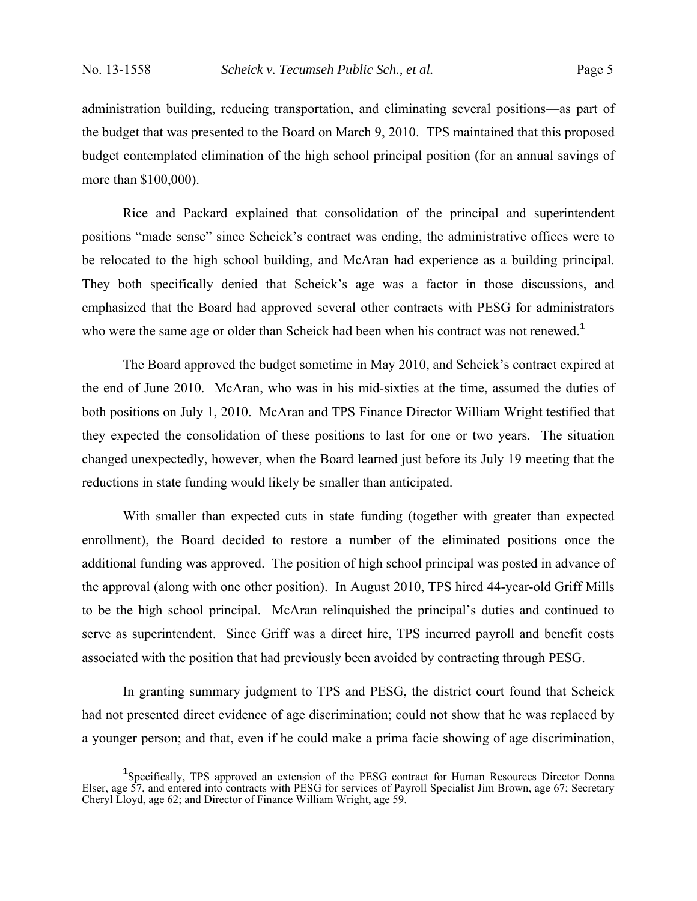administration building, reducing transportation, and eliminating several positions—as part of the budget that was presented to the Board on March 9, 2010. TPS maintained that this proposed budget contemplated elimination of the high school principal position (for an annual savings of more than \$100,000).

 Rice and Packard explained that consolidation of the principal and superintendent positions "made sense" since Scheick's contract was ending, the administrative offices were to be relocated to the high school building, and McAran had experience as a building principal. They both specifically denied that Scheick's age was a factor in those discussions, and emphasized that the Board had approved several other contracts with PESG for administrators who were the same age or older than Scheick had been when his contract was not renewed.<sup>1</sup>

 The Board approved the budget sometime in May 2010, and Scheick's contract expired at the end of June 2010. McAran, who was in his mid-sixties at the time, assumed the duties of both positions on July 1, 2010. McAran and TPS Finance Director William Wright testified that they expected the consolidation of these positions to last for one or two years. The situation changed unexpectedly, however, when the Board learned just before its July 19 meeting that the reductions in state funding would likely be smaller than anticipated.

 With smaller than expected cuts in state funding (together with greater than expected enrollment), the Board decided to restore a number of the eliminated positions once the additional funding was approved. The position of high school principal was posted in advance of the approval (along with one other position). In August 2010, TPS hired 44-year-old Griff Mills to be the high school principal. McAran relinquished the principal's duties and continued to serve as superintendent. Since Griff was a direct hire, TPS incurred payroll and benefit costs associated with the position that had previously been avoided by contracting through PESG.

 In granting summary judgment to TPS and PESG, the district court found that Scheick had not presented direct evidence of age discrimination; could not show that he was replaced by a younger person; and that, even if he could make a prima facie showing of age discrimination,

<sup>&</sup>lt;sup>1</sup>Specifically, TPS approved an extension of the PESG contract for Human Resources Director Donna Elser, age 57, and entered into contracts with PESG for services of Payroll Specialist Jim Brown, age 67; Secretary Cheryl Lloyd, age 62; and Director of Finance William Wright, age 59.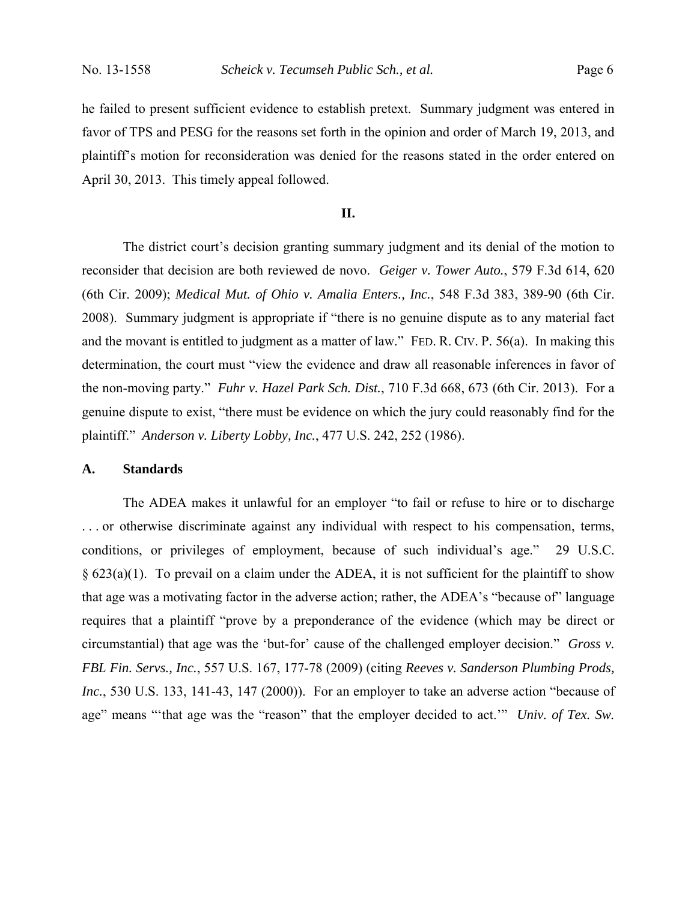he failed to present sufficient evidence to establish pretext. Summary judgment was entered in favor of TPS and PESG for the reasons set forth in the opinion and order of March 19, 2013, and plaintiff's motion for reconsideration was denied for the reasons stated in the order entered on April 30, 2013. This timely appeal followed.

## **II.**

 The district court's decision granting summary judgment and its denial of the motion to reconsider that decision are both reviewed de novo. *Geiger v. Tower Auto.*, 579 F.3d 614, 620 (6th Cir. 2009); *Medical Mut. of Ohio v. Amalia Enters., Inc.*, 548 F.3d 383, 389-90 (6th Cir. 2008). Summary judgment is appropriate if "there is no genuine dispute as to any material fact and the movant is entitled to judgment as a matter of law." FED. R. CIV. P. 56(a). In making this determination, the court must "view the evidence and draw all reasonable inferences in favor of the non-moving party." *Fuhr v. Hazel Park Sch. Dist.*, 710 F.3d 668, 673 (6th Cir. 2013). For a genuine dispute to exist, "there must be evidence on which the jury could reasonably find for the plaintiff." *Anderson v. Liberty Lobby, Inc.*, 477 U.S. 242, 252 (1986).

## **A. Standards**

The ADEA makes it unlawful for an employer "to fail or refuse to hire or to discharge . . . or otherwise discriminate against any individual with respect to his compensation, terms, conditions, or privileges of employment, because of such individual's age." 29 U.S.C.  $\S$  623(a)(1). To prevail on a claim under the ADEA, it is not sufficient for the plaintiff to show that age was a motivating factor in the adverse action; rather, the ADEA's "because of" language requires that a plaintiff "prove by a preponderance of the evidence (which may be direct or circumstantial) that age was the 'but-for' cause of the challenged employer decision." *Gross v. FBL Fin. Servs., Inc.*, 557 U.S. 167, 177-78 (2009) (citing *Reeves v. Sanderson Plumbing Prods, Inc.*, 530 U.S. 133, 141-43, 147 (2000)). For an employer to take an adverse action "because of age" means "'that age was the "reason" that the employer decided to act.'" *Univ. of Tex. Sw.*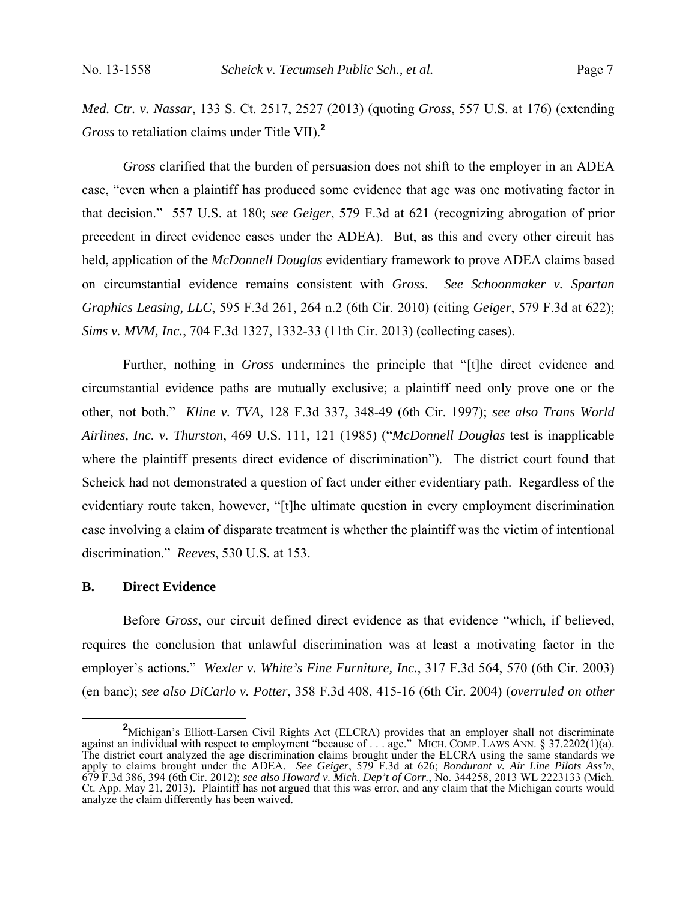*Med. Ctr. v. Nassar*, 133 S. Ct. 2517, 2527 (2013) (quoting *Gross*, 557 U.S. at 176) (extending *Gross* to retaliation claims under Title VII).**<sup>2</sup>**

 *Gross* clarified that the burden of persuasion does not shift to the employer in an ADEA case, "even when a plaintiff has produced some evidence that age was one motivating factor in that decision." 557 U.S. at 180; *see Geiger*, 579 F.3d at 621 (recognizing abrogation of prior precedent in direct evidence cases under the ADEA). But, as this and every other circuit has held, application of the *McDonnell Douglas* evidentiary framework to prove ADEA claims based on circumstantial evidence remains consistent with *Gross*. *See Schoonmaker v. Spartan Graphics Leasing, LLC*, 595 F.3d 261, 264 n.2 (6th Cir. 2010) (citing *Geiger*, 579 F.3d at 622); *Sims v. MVM, Inc.*, 704 F.3d 1327, 1332-33 (11th Cir. 2013) (collecting cases).

 Further, nothing in *Gross* undermines the principle that "[t]he direct evidence and circumstantial evidence paths are mutually exclusive; a plaintiff need only prove one or the other, not both." *Kline v. TVA*, 128 F.3d 337, 348-49 (6th Cir. 1997); *see also Trans World Airlines, Inc. v. Thurston*, 469 U.S. 111, 121 (1985) ("*McDonnell Douglas* test is inapplicable where the plaintiff presents direct evidence of discrimination"). The district court found that Scheick had not demonstrated a question of fact under either evidentiary path. Regardless of the evidentiary route taken, however, "[t]he ultimate question in every employment discrimination case involving a claim of disparate treatment is whether the plaintiff was the victim of intentional discrimination." *Reeves*, 530 U.S. at 153.

### **B. Direct Evidence**

 Before *Gross*, our circuit defined direct evidence as that evidence "which, if believed, requires the conclusion that unlawful discrimination was at least a motivating factor in the employer's actions." *Wexler v. White's Fine Furniture, Inc.*, 317 F.3d 564, 570 (6th Cir. 2003) (en banc); *see also DiCarlo v. Potter*, 358 F.3d 408, 415-16 (6th Cir. 2004) (*overruled on other* 

<sup>&</sup>lt;sup>2</sup> Michigan's Elliott-Larsen Civil Rights Act (ELCRA) provides that an employer shall not discriminate against an individual with respect to employment "because of . . . age." MICH. COMP. LAWS ANN. § 37.2202(1)(a). The district court analyzed the age discrimination claims brought under the ELCRA using the same standards we apply to claims brought under the ADEA. *See Geiger*, 579 F.3d at 626; *Bondurant v. Air Line Pilots Ass'n*, 679 F.3d 386, 394 (6th Cir. 2012); *see also Howard v. Mich. Dep't of Corr.*, No. 344258, 2013 WL 2223133 (Mich. Ct. App. May 21, 2013). Plaintiff has not argued that this was error, and any claim that the Michigan courts would analyze the claim differently has been waived.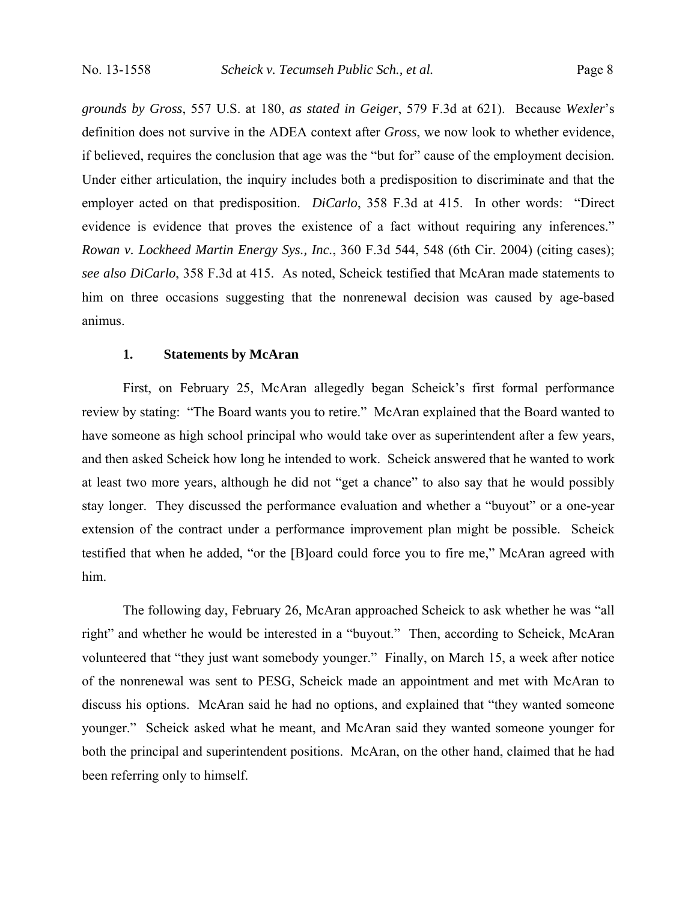*grounds by Gross*, 557 U.S. at 180, *as stated in Geiger*, 579 F.3d at 621). Because *Wexler*'s definition does not survive in the ADEA context after *Gross*, we now look to whether evidence, if believed, requires the conclusion that age was the "but for" cause of the employment decision. Under either articulation, the inquiry includes both a predisposition to discriminate and that the employer acted on that predisposition. *DiCarlo*, 358 F.3d at 415. In other words: "Direct evidence is evidence that proves the existence of a fact without requiring any inferences." *Rowan v. Lockheed Martin Energy Sys., Inc.*, 360 F.3d 544, 548 (6th Cir. 2004) (citing cases); *see also DiCarlo*, 358 F.3d at 415. As noted, Scheick testified that McAran made statements to him on three occasions suggesting that the nonrenewal decision was caused by age-based animus.

### **1. Statements by McAran**

 First, on February 25, McAran allegedly began Scheick's first formal performance review by stating: "The Board wants you to retire." McAran explained that the Board wanted to have someone as high school principal who would take over as superintendent after a few years, and then asked Scheick how long he intended to work. Scheick answered that he wanted to work at least two more years, although he did not "get a chance" to also say that he would possibly stay longer. They discussed the performance evaluation and whether a "buyout" or a one-year extension of the contract under a performance improvement plan might be possible. Scheick testified that when he added, "or the [B]oard could force you to fire me," McAran agreed with him.

 The following day, February 26, McAran approached Scheick to ask whether he was "all right" and whether he would be interested in a "buyout." Then, according to Scheick, McAran volunteered that "they just want somebody younger." Finally, on March 15, a week after notice of the nonrenewal was sent to PESG, Scheick made an appointment and met with McAran to discuss his options. McAran said he had no options, and explained that "they wanted someone younger." Scheick asked what he meant, and McAran said they wanted someone younger for both the principal and superintendent positions. McAran, on the other hand, claimed that he had been referring only to himself.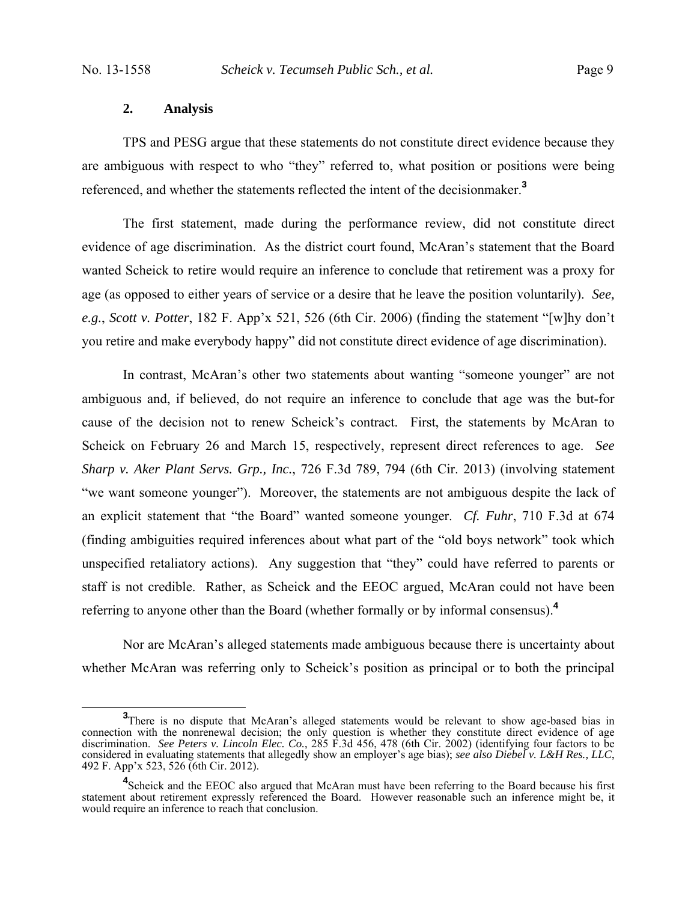### **2. Analysis**

 TPS and PESG argue that these statements do not constitute direct evidence because they are ambiguous with respect to who "they" referred to, what position or positions were being referenced, and whether the statements reflected the intent of the decisionmaker.**<sup>3</sup>**

 The first statement, made during the performance review, did not constitute direct evidence of age discrimination. As the district court found, McAran's statement that the Board wanted Scheick to retire would require an inference to conclude that retirement was a proxy for age (as opposed to either years of service or a desire that he leave the position voluntarily). *See, e.g.*, *Scott v. Potter*, 182 F. App'x 521, 526 (6th Cir. 2006) (finding the statement "[w]hy don't you retire and make everybody happy" did not constitute direct evidence of age discrimination).

 In contrast, McAran's other two statements about wanting "someone younger" are not ambiguous and, if believed, do not require an inference to conclude that age was the but-for cause of the decision not to renew Scheick's contract. First, the statements by McAran to Scheick on February 26 and March 15, respectively, represent direct references to age. *See Sharp v. Aker Plant Servs. Grp., Inc.*, 726 F.3d 789, 794 (6th Cir. 2013) (involving statement "we want someone younger"). Moreover, the statements are not ambiguous despite the lack of an explicit statement that "the Board" wanted someone younger. *Cf. Fuhr*, 710 F.3d at 674 (finding ambiguities required inferences about what part of the "old boys network" took which unspecified retaliatory actions). Any suggestion that "they" could have referred to parents or staff is not credible. Rather, as Scheick and the EEOC argued, McAran could not have been referring to anyone other than the Board (whether formally or by informal consensus).**<sup>4</sup>**

 Nor are McAran's alleged statements made ambiguous because there is uncertainty about whether McAran was referring only to Scheick's position as principal or to both the principal

**<sup>3</sup>** <sup>3</sup>There is no dispute that McAran's alleged statements would be relevant to show age-based bias in connection with the nonrenewal decision; the only question is whether they constitute direct evidence of age discrimination. *See Peters v. Lincoln Elec. Co.*, 285 F.3d 456, 478 (6th Cir. 2002) (identifying four factors to be considered in evaluating statements that allegedly show an employer's age bias); *see also Diebel v. L&H Res., LLC*, 492 F. App'x 523, 526 (6th Cir. 2012).

<sup>&</sup>lt;sup>4</sup>Scheick and the EEOC also argued that McAran must have been referring to the Board because his first statement about retirement expressly referenced the Board. However reasonable such an inference might be, it would require an inference to reach that conclusion.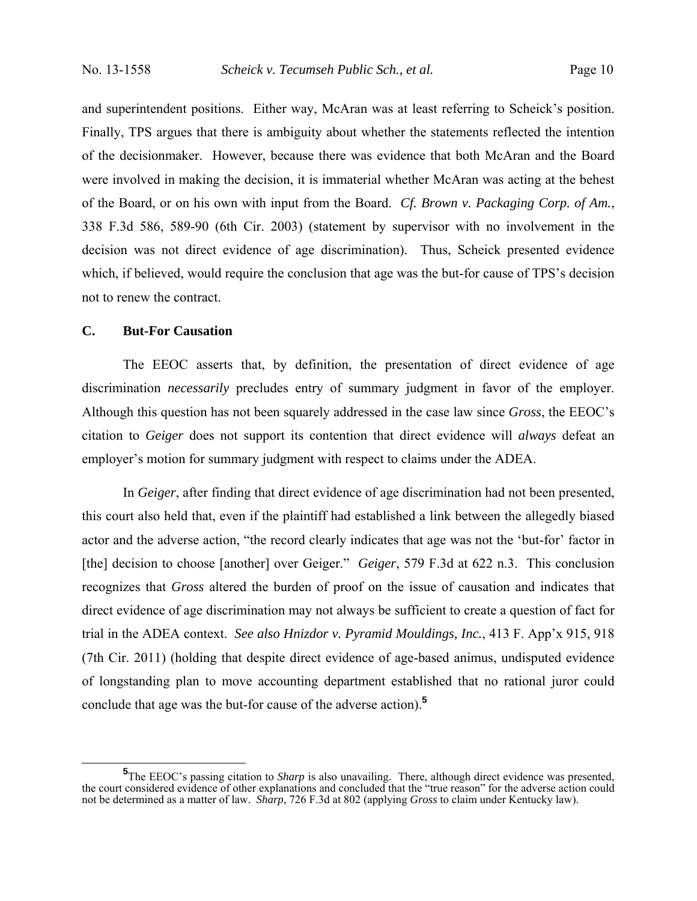and superintendent positions. Either way, McAran was at least referring to Scheick's position. Finally, TPS argues that there is ambiguity about whether the statements reflected the intention of the decisionmaker. However, because there was evidence that both McAran and the Board were involved in making the decision, it is immaterial whether McAran was acting at the behest of the Board, or on his own with input from the Board. *Cf. Brown v. Packaging Corp. of Am.*, 338 F.3d 586, 589-90 (6th Cir. 2003) (statement by supervisor with no involvement in the decision was not direct evidence of age discrimination). Thus, Scheick presented evidence which, if believed, would require the conclusion that age was the but-for cause of TPS's decision not to renew the contract.

### **C. But-For Causation**

 The EEOC asserts that, by definition, the presentation of direct evidence of age discrimination *necessarily* precludes entry of summary judgment in favor of the employer. Although this question has not been squarely addressed in the case law since *Gross*, the EEOC's citation to *Geiger* does not support its contention that direct evidence will *always* defeat an employer's motion for summary judgment with respect to claims under the ADEA.

 In *Geiger*, after finding that direct evidence of age discrimination had not been presented, this court also held that, even if the plaintiff had established a link between the allegedly biased actor and the adverse action, "the record clearly indicates that age was not the 'but-for' factor in [the] decision to choose [another] over Geiger." *Geiger*, 579 F.3d at 622 n.3. This conclusion recognizes that *Gross* altered the burden of proof on the issue of causation and indicates that direct evidence of age discrimination may not always be sufficient to create a question of fact for trial in the ADEA context. *See also Hnizdor v. Pyramid Mouldings, Inc.*, 413 F. App'x 915, 918 (7th Cir. 2011) (holding that despite direct evidence of age-based animus, undisputed evidence of longstanding plan to move accounting department established that no rational juror could conclude that age was the but-for cause of the adverse action).**<sup>5</sup>**

<sup>&</sup>lt;sup>5</sup>The EEOC's passing citation to *Sharp* is also unavailing. There, although direct evidence was presented, the court considered evidence of other explanations and concluded that the "true reason" for the adverse action could not be determined as a matter of law. *Sharp*, 726 F.3d at 802 (applying *Gross* to claim under Kentucky law).